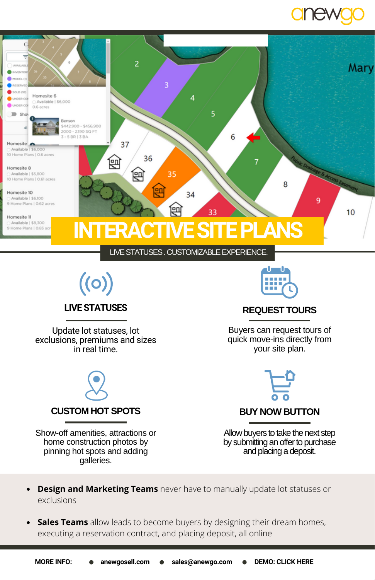



- **Design and Marketing Teams** never have to manually update lot statuses or
	- exclusions

galleries.

 $\bullet$ **Sales Teams** allow leads to become buyers by designing their dream homes, executing a reservation contract, and placing deposit, all online